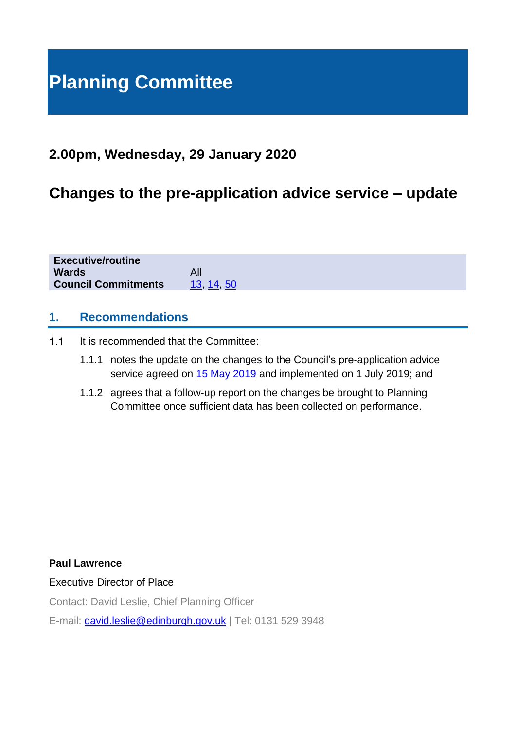# **Planning Committee**

### **2.00pm, Wednesday, 29 January 2020**

## **Changes to the pre-application advice service – update**

| <b>Executive/routine</b>   |          |
|----------------------------|----------|
| <b>Wards</b>               | All      |
| <b>Council Commitments</b> | 13 14 50 |
|                            |          |

#### **1. Recommendations**

- $1.1$ It is recommended that the Committee:
	- 1.1.1 notes the update on the changes to the Council's pre-application advice service agreed on [15 May 2019](https://democracy.edinburgh.gov.uk/Data/Planning%20Committee/20190515/Agenda/item_82_-_changes_to_the_pre-application_advice_service_and_edinburgh_planning_concordat.pdf) and implemented on 1 July 2019; and
	- 1.1.2 agrees that a follow-up report on the changes be brought to Planning Committee once sufficient data has been collected on performance.

**Paul Lawrence** 

Executive Director of Place

Contact: David Leslie, Chief Planning Officer

E-mail: [david.leslie@edinburgh.gov.uk](mailto:david.leslie@edinburgh.gov.uk) | Tel: 0131 529 3948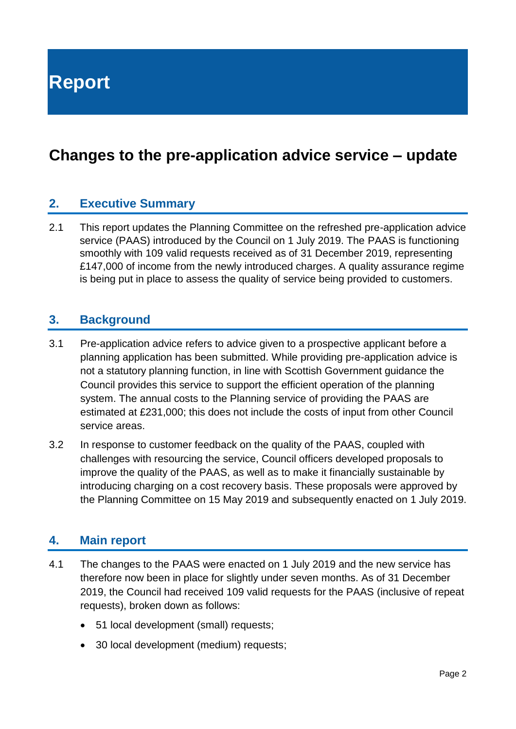**Report**

## **Changes to the pre-application advice service – update**

#### **2. Executive Summary**

2.1 This report updates the Planning Committee on the refreshed pre-application advice service (PAAS) introduced by the Council on 1 July 2019. The PAAS is functioning smoothly with 109 valid requests received as of 31 December 2019, representing £147,000 of income from the newly introduced charges. A quality assurance regime is being put in place to assess the quality of service being provided to customers.

#### **3. Background**

- 3.1 Pre-application advice refers to advice given to a prospective applicant before a planning application has been submitted. While providing pre-application advice is not a statutory planning function, in line with Scottish Government guidance the Council provides this service to support the efficient operation of the planning system. The annual costs to the Planning service of providing the PAAS are estimated at £231,000; this does not include the costs of input from other Council service areas.
- 3.2 In response to customer feedback on the quality of the PAAS, coupled with challenges with resourcing the service, Council officers developed proposals to improve the quality of the PAAS, as well as to make it financially sustainable by introducing charging on a cost recovery basis. These proposals were approved by the Planning Committee on 15 May 2019 and subsequently enacted on 1 July 2019.

#### **4. Main report**

- 4.1 The changes to the PAAS were enacted on 1 July 2019 and the new service has therefore now been in place for slightly under seven months. As of 31 December 2019, the Council had received 109 valid requests for the PAAS (inclusive of repeat requests), broken down as follows:
	- 51 local development (small) requests;
	- 30 local development (medium) requests;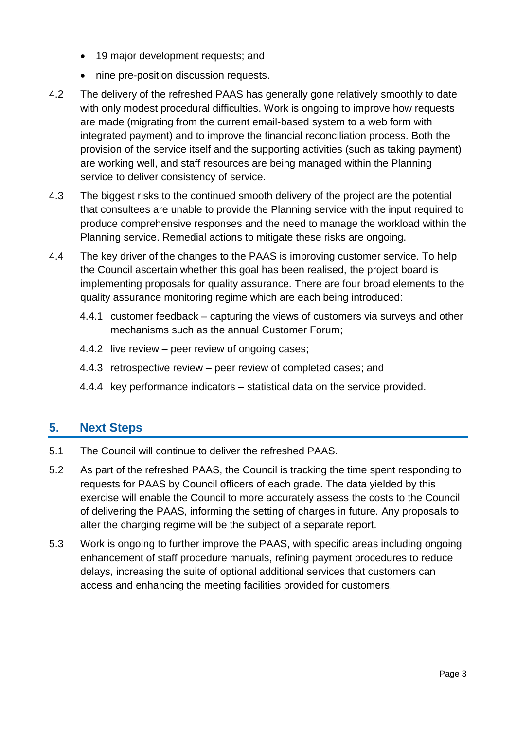- 19 major development requests; and
- nine pre-position discussion requests.
- 4.2 The delivery of the refreshed PAAS has generally gone relatively smoothly to date with only modest procedural difficulties. Work is ongoing to improve how requests are made (migrating from the current email-based system to a web form with integrated payment) and to improve the financial reconciliation process. Both the provision of the service itself and the supporting activities (such as taking payment) are working well, and staff resources are being managed within the Planning service to deliver consistency of service.
- 4.3 The biggest risks to the continued smooth delivery of the project are the potential that consultees are unable to provide the Planning service with the input required to produce comprehensive responses and the need to manage the workload within the Planning service. Remedial actions to mitigate these risks are ongoing.
- 4.4 The key driver of the changes to the PAAS is improving customer service. To help the Council ascertain whether this goal has been realised, the project board is implementing proposals for quality assurance. There are four broad elements to the quality assurance monitoring regime which are each being introduced:
	- 4.4.1 customer feedback capturing the views of customers via surveys and other mechanisms such as the annual Customer Forum;
	- 4.4.2 live review peer review of ongoing cases;
	- 4.4.3 retrospective review peer review of completed cases; and
	- 4.4.4 key performance indicators statistical data on the service provided.

#### **5. Next Steps**

- 5.1 The Council will continue to deliver the refreshed PAAS.
- 5.2 As part of the refreshed PAAS, the Council is tracking the time spent responding to requests for PAAS by Council officers of each grade. The data yielded by this exercise will enable the Council to more accurately assess the costs to the Council of delivering the PAAS, informing the setting of charges in future. Any proposals to alter the charging regime will be the subject of a separate report.
- 5.3 Work is ongoing to further improve the PAAS, with specific areas including ongoing enhancement of staff procedure manuals, refining payment procedures to reduce delays, increasing the suite of optional additional services that customers can access and enhancing the meeting facilities provided for customers.